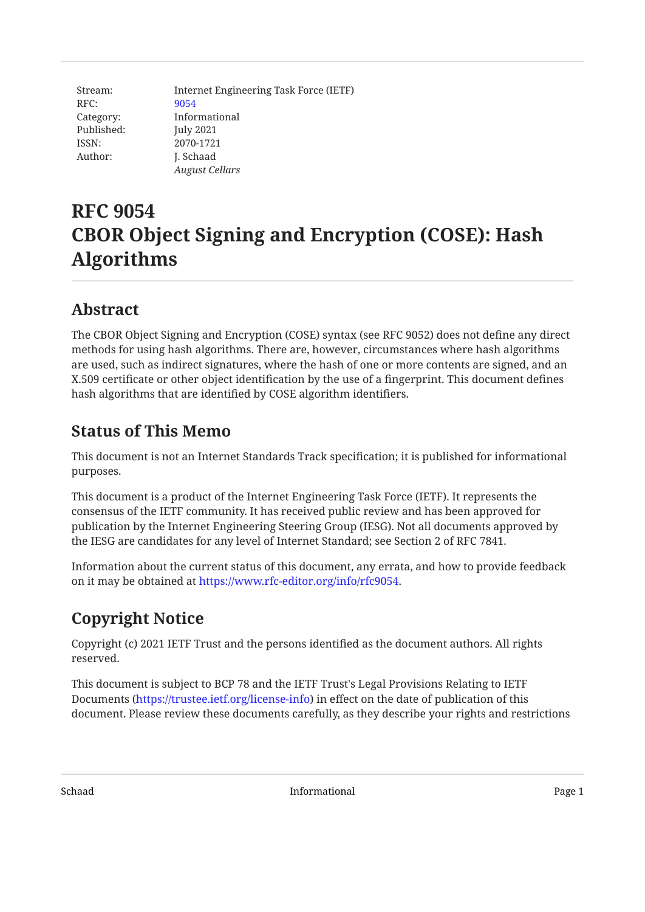| Stream:    | Internet Engineering Task Force (IETF) |
|------------|----------------------------------------|
| RFC:       | 9054                                   |
| Category:  | Informational                          |
| Published: | <b>July 2021</b>                       |
| ISSN:      | 2070-1721                              |
| Author:    | J. Schaad                              |
|            | <b>August Cellars</b>                  |

# **RFC 9054 CBOR Object Signing and Encryption (COSE): Hash Algorithms**

# <span id="page-0-0"></span>**[Abstract](#page-0-0)**

The CBOR Object Signing and Encryption (COSE) syntax (see RFC 9052) does not define any direct methods for using hash algorithms. There are, however, circumstances where hash algorithms are used, such as indirect signatures, where the hash of one or more contents are signed, and an X.509 certificate or other object identification by the use of a fingerprint. This document defines hash algorithms that are identified by COSE algorithm identifiers.

### <span id="page-0-1"></span>**[Status of This Memo](#page-0-1)**

This document is not an Internet Standards Track specification; it is published for informational purposes.

This document is a product of the Internet Engineering Task Force (IETF). It represents the consensus of the IETF community. It has received public review and has been approved for publication by the Internet Engineering Steering Group (IESG). Not all documents approved by the IESG are candidates for any level of Internet Standard; see Section 2 of RFC 7841.

Information about the current status of this document, any errata, and how to provide feedback on it may be obtained at <https://www.rfc-editor.org/info/rfc9054>.

# <span id="page-0-2"></span>**[Copyright Notice](#page-0-2)**

Copyright (c) 2021 IETF Trust and the persons identified as the document authors. All rights reserved.

This document is subject to BCP 78 and the IETF Trust's Legal Provisions Relating to IETF Documents (<https://trustee.ietf.org/license-info>) in effect on the date of publication of this document. Please review these documents carefully, as they describe your rights and restrictions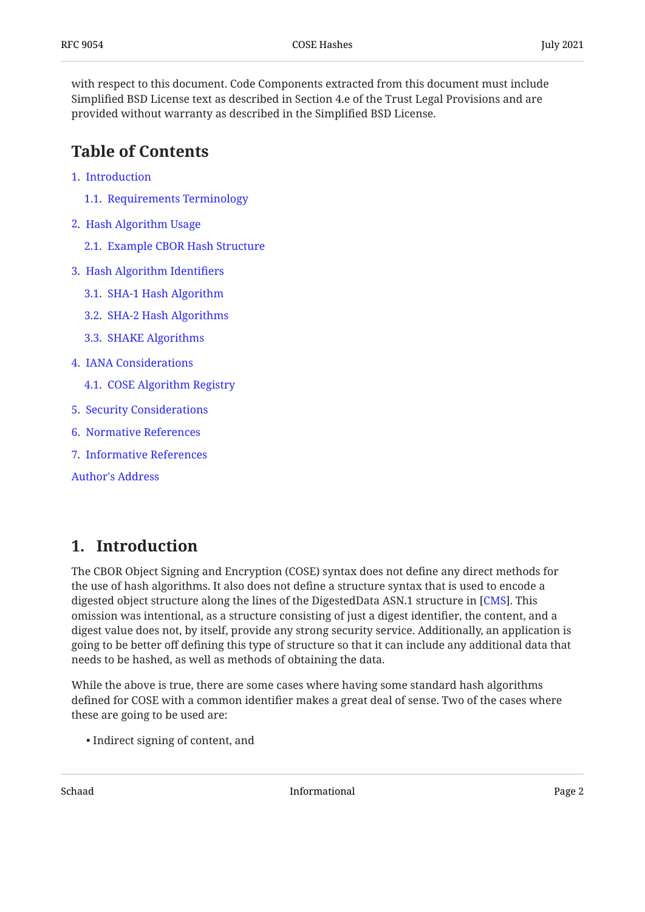with respect to this document. Code Components extracted from this document must include Simplified BSD License text as described in Section 4.e of the Trust Legal Provisions and are provided without warranty as described in the Simplified BSD License.

### <span id="page-1-0"></span>**[Table of Contents](#page-1-0)**

- [1.](#page-1-1) [Introduction](#page-1-1)
	- [1.1.](#page-2-0) [Requirements Terminology](#page-2-0)
- [2.](#page-2-1) [Hash Algorithm Usage](#page-2-1)
	- [2.1.](#page-3-0) [Example CBOR Hash Structure](#page-3-0)
- [3.](#page-4-0) [Hash Algorithm Identi](#page-4-0)fiers
	- [3.1.](#page-4-1) [SHA-1 Hash Algorithm](#page-4-1)
	- [3.2.](#page-5-0) [SHA-2 Hash Algorithms](#page-5-0)
	- [3.3.](#page-6-0) [SHAKE Algorithms](#page-6-0)
- [4.](#page-6-1) [IANA Considerations](#page-6-1)
	- [4.1.](#page-6-2) [COSE Algorithm Registry](#page-6-2)
- [5.](#page-7-0) [Security Considerations](#page-7-0)
- [6.](#page-7-1) [Normative References](#page-7-1)
- [7.](#page-7-2) [Informative References](#page-7-2)

[Author's Address](#page-8-0)

### <span id="page-1-1"></span>**[1. Introduction](#page-1-1)**

The CBOR Object Signing and Encryption (COSE) syntax does not define any direct methods for the use of hash algorithms. It also does not define a structure syntax that is used to encode a digested object structure along the lines of the DigestedData ASN.1 structure in [\[CMS](#page-8-1)]. This omission was intentional, as a structure consisting of just a digest identifier, the content, and a digest value does not, by itself, provide any strong security service. Additionally, an application is going to be better off defining this type of structure so that it can include any additional data that needs to be hashed, as well as methods of obtaining the data.

While the above is true, there are some cases where having some standard hash algorithms defined for COSE with a common identifier makes a great deal of sense. Two of the cases where these are going to be used are:

• Indirect signing of content, and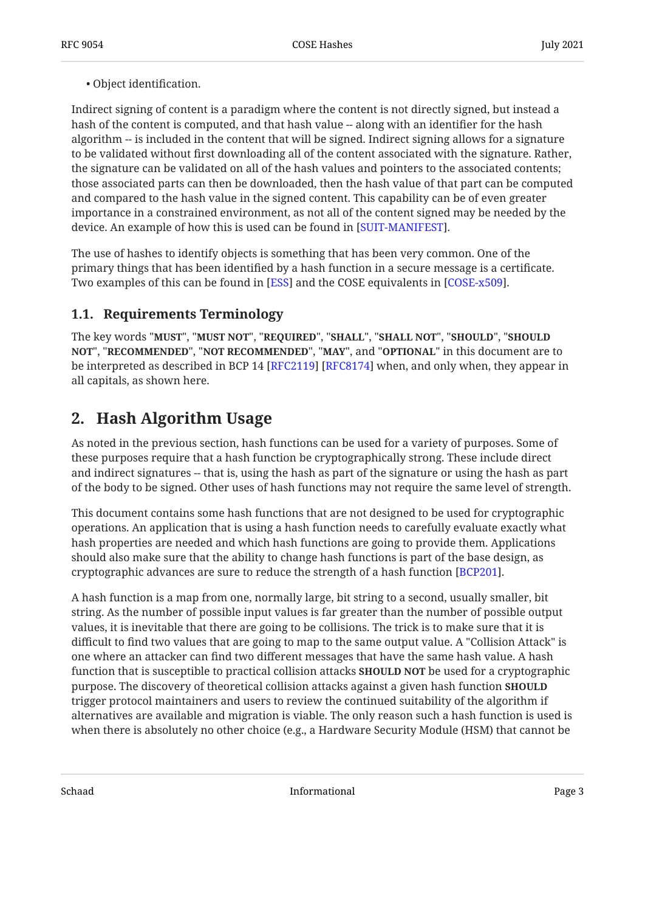#### Object identification. •

Indirect signing of content is a paradigm where the content is not directly signed, but instead a hash of the content is computed, and that hash value -- along with an identifier for the hash algorithm -- is included in the content that will be signed. Indirect signing allows for a signature to be validated without first downloading all of the content associated with the signature. Rather, the signature can be validated on all of the hash values and pointers to the associated contents; those associated parts can then be downloaded, then the hash value of that part can be computed and compared to the hash value in the signed content. This capability can be of even greater importance in a constrained environment, as not all of the content signed may be needed by the device. An example of how this is used can be found in [[SUIT-MANIFEST\]](#page-8-2).

The use of hashes to identify objects is something that has been very common. One of the primary things that has been identified by a hash function in a secure message is a certificate. Two examples of this can be found in [ESS] and the COSE equivalents in [COSE-x509].  $\,$ 

#### <span id="page-2-0"></span>**[1.1. Requirements Terminology](#page-2-0)**

The key words "MUST", "MUST NOT", "REQUIRED", "SHALL", "SHALL NOT", "SHOULD", "SHOULD <code>NOT",</code> "<code>RECOMMENDED", "NOT RECOMMENDED", "MAY", and "OPTIONAL" in this document are to</code> be interpreted as described in BCP 14 [RFC2119] [RFC8174] when, and only when, they appear in all capitals, as shown here.

## <span id="page-2-1"></span>**[2. Hash Algorithm Usage](#page-2-1)**

As noted in the previous section, hash functions can be used for a variety of purposes. Some of these purposes require that a hash function be cryptographically strong. These include direct and indirect signatures -- that is, using the hash as part of the signature or using the hash as part of the body to be signed. Other uses of hash functions may not require the same level of strength.

This document contains some hash functions that are not designed to be used for cryptographic operations. An application that is using a hash function needs to carefully evaluate exactly what hash properties are needed and which hash functions are going to provide them. Applications should also make sure that the ability to change hash functions is part of the base design, as cryptographic advances are sure to reduce the strength of a hash function  $[BCP201]$ .

A hash function is a map from one, normally large, bit string to a second, usually smaller, bit string. As the number of possible input values is far greater than the number of possible output values, it is inevitable that there are going to be collisions. The trick is to make sure that it is difficult to find two values that are going to map to the same output value. A "Collision Attack" is one where an attacker can find two different messages that have the same hash value. A hash function that is susceptible to practical collision attacks **SHOULD NOT** be used for a cryptographic purpose. The discovery of theoretical collision attacks against a given hash function **SHOULD** trigger protocol maintainers and users to review the continued suitability of the algorithm if alternatives are available and migration is viable. The only reason such a hash function is used is when there is absolutely no other choice (e.g., a Hardware Security Module (HSM) that cannot be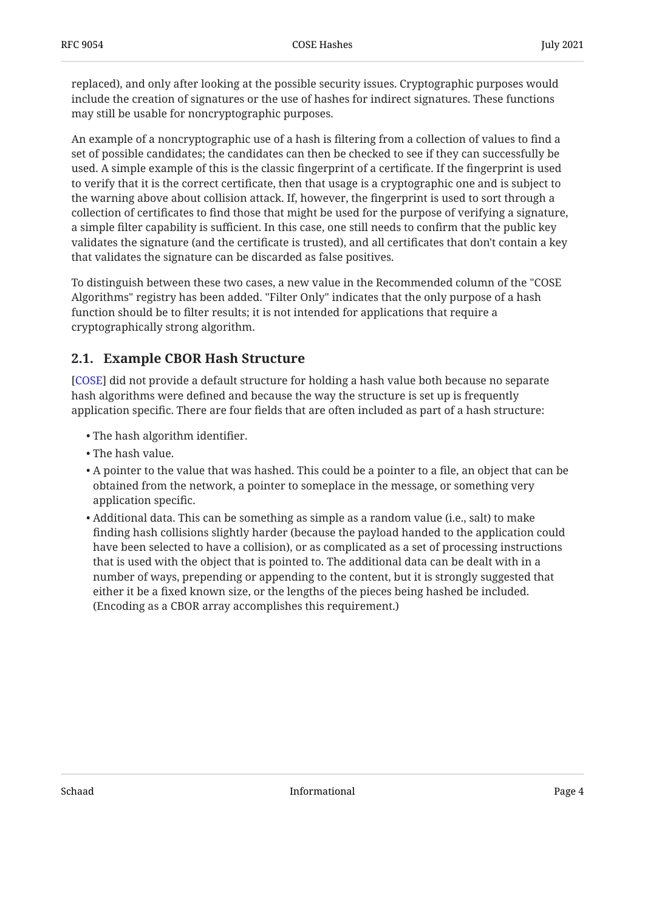replaced), and only after looking at the possible security issues. Cryptographic purposes would include the creation of signatures or the use of hashes for indirect signatures. These functions may still be usable for noncryptographic purposes.

An example of a noncryptographic use of a hash is filtering from a collection of values to find a set of possible candidates; the candidates can then be checked to see if they can successfully be used. A simple example of this is the classic fingerprint of a certificate. If the fingerprint is used to verify that it is the correct certificate, then that usage is a cryptographic one and is subject to the warning above about collision attack. If, however, the fingerprint is used to sort through a collection of certificates to find those that might be used for the purpose of verifying a signature, a simple filter capability is sufficient. In this case, one still needs to confirm that the public key validates the signature (and the certificate is trusted), and all certificates that don't contain a key that validates the signature can be discarded as false positives.

To distinguish between these two cases, a new value in the Recommended column of the "COSE Algorithms" registry has been added. "Filter Only" indicates that the only purpose of a hash function should be to filter results; it is not intended for applications that require a cryptographically strong algorithm.

#### <span id="page-3-0"></span>**[2.1. Example CBOR Hash Structure](#page-3-0)**

[[COSE\]](#page-8-5) did not provide a default structure for holding a hash value both because no separate hash algorithms were defined and because the way the structure is set up is frequently application specific. There are four fields that are often included as part of a hash structure:

- The hash algorithm identifier. •
- The hash value. •
- $\bullet$  A pointer to the value that was hashed. This could be a pointer to a file, an object that can be obtained from the network, a pointer to someplace in the message, or something very application specific.
- Additional data. This can be something as simple as a random value (i.e., salt) to make finding hash collisions slightly harder (because the payload handed to the application could have been selected to have a collision), or as complicated as a set of processing instructions that is used with the object that is pointed to. The additional data can be dealt with in a number of ways, prepending or appending to the content, but it is strongly suggested that either it be a fixed known size, or the lengths of the pieces being hashed be included. (Encoding as a CBOR array accomplishes this requirement.)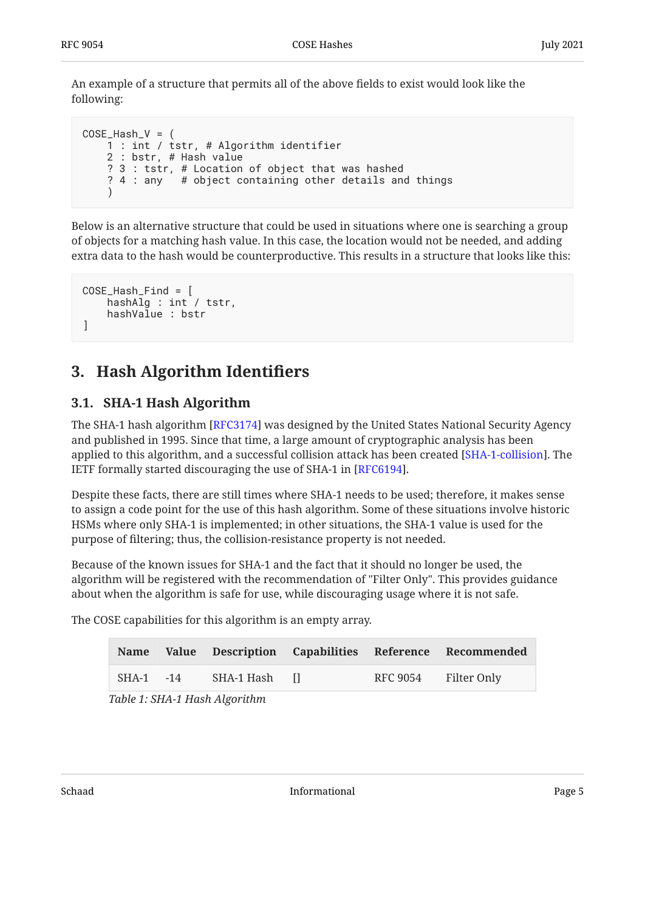An example of a structure that permits all of the above fields to exist would look like the following:

```
COSE\_Hash_V = ( 1 : int / tstr, # Algorithm identifier
      2 : bstr, # Hash value
     ? 3 : tstr, # Location of object that was hashed<br>? 4 : any # object containing other details an
                   # object containing other details and things
      )
```
Below is an alternative structure that could be used in situations where one is searching a group of objects for a matching hash value. In this case, the location would not be needed, and adding extra data to the hash would be counterproductive. This results in a structure that looks like this:

```
COSE_Hash_Find = [
     hashAlg : int / tstr,
     hashValue : bstr
]
```
# <span id="page-4-1"></span><span id="page-4-0"></span>**[3. Hash Algorithm Identi](#page-4-0)fiers**

#### **[3.1. SHA-1 Hash Algorithm](#page-4-1)**

The SHA-1 hash algorithm [RFC3174] was designed by the United States National Security Agency and published in 1995. Since that time, a large amount of cryptographic analysis has been applied to this algorithm, and a successful collision attack has been created [\[SHA-1-collision](#page-8-6)]. The IETF formally started discouraging the use of SHA-1 in [ $\rm RFC6194$ ].

Despite these facts, there are still times where SHA-1 needs to be used; therefore, it makes sense to assign a code point for the use of this hash algorithm. Some of these situations involve historic HSMs where only SHA-1 is implemented; in other situations, the SHA-1 value is used for the purpose of filtering; thus, the collision-resistance property is not needed.

Because of the known issues for SHA-1 and the fact that it should no longer be used, the algorithm will be registered with the recommendation of "Filter Only". This provides guidance about when the algorithm is safe for use, while discouraging usage where it is not safe.

<span id="page-4-3"></span>The COSE capabilities for this algorithm is an empty array.

<span id="page-4-2"></span>

| <b>Name</b>   |               |                      | Value Description Capabilities Reference Recommended |
|---------------|---------------|----------------------|------------------------------------------------------|
| $SHA-1$ $-14$ | SHA-1 Hash II | RFC 9054 Filter Only |                                                      |

*[Table 1](#page-4-2): [SHA-1 Hash Algorithm](#page-4-3)*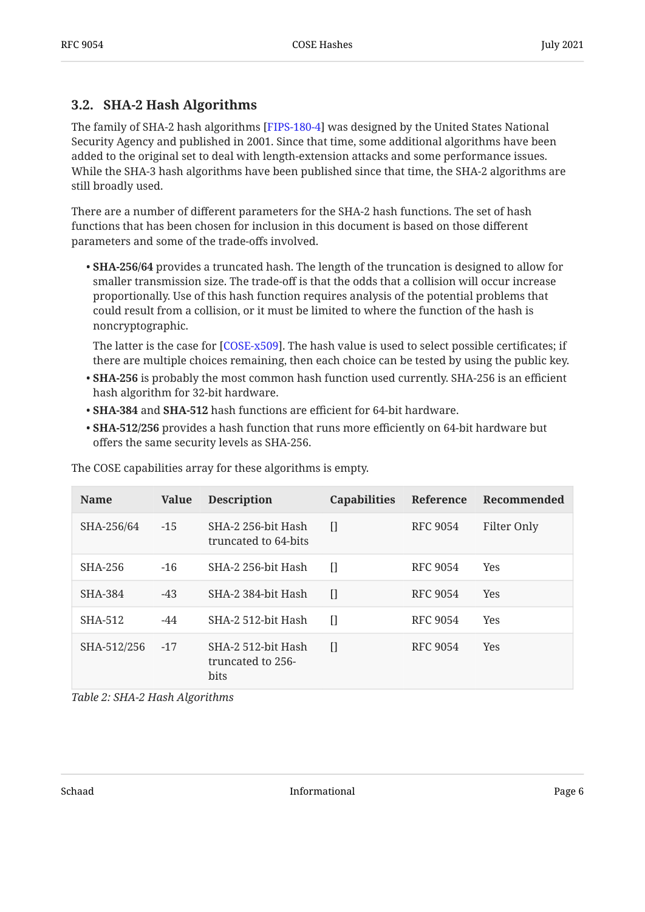#### <span id="page-5-0"></span>**[3.2. SHA-2 Hash Algorithms](#page-5-0)**

The family of SHA-2 hash algorithms [[FIPS-180-4\]](#page-7-7) was designed by the United States National Security Agency and published in 2001. Since that time, some additional algorithms have been added to the original set to deal with length-extension attacks and some performance issues. While the SHA-3 hash algorithms have been published since that time, the SHA-2 algorithms are still broadly used.

There are a number of different parameters for the SHA-2 hash functions. The set of hash functions that has been chosen for inclusion in this document is based on those different parameters and some of the trade-offs involved.

**SHA-256/64** provides a truncated hash. The length of the truncation is designed to allow for • smaller transmission size. The trade-off is that the odds that a collision will occur increase proportionally. Use of this hash function requires analysis of the potential problems that could result from a collision, or it must be limited to where the function of the hash is noncryptographic.

The latter is the case for [COSE-x509]. The hash value is used to select possible certificates; if there are multiple choices remaining, then each choice can be tested by using the public key.

- **SHA-256** is probably the most common hash function used currently. SHA-256 is an efficient hash algorithm for 32-bit hardware.
- **SHA-384** and **SHA-512** hash functions are efficient for 64-bit hardware. •
- **SHA-512/256** provides a hash function that runs more efficiently on 64-bit hardware but offers the same security levels as SHA-256.

<span id="page-5-1"></span>

| <b>Name</b> | <b>Value</b> | <b>Description</b>                              | <b>Capabilities</b> | Reference       | Recommended |
|-------------|--------------|-------------------------------------------------|---------------------|-----------------|-------------|
| SHA-256/64  | $-15$        | SHA-2 256-bit Hash<br>truncated to 64-bits      | $\prod$             | RFC 9054        | Filter Only |
| SHA-256     | $-16$        | SHA-2 256-bit Hash                              | П                   | <b>RFC 9054</b> | <b>Yes</b>  |
| SHA-384     | $-43$        | SHA-2 384-bit Hash                              | П                   | <b>RFC 9054</b> | <b>Yes</b>  |
| SHA-512     | $-44$        | SHA-2 512-bit Hash                              | П                   | <b>RFC 9054</b> | <b>Yes</b>  |
| SHA-512/256 | $-17$        | SHA-2 512-bit Hash<br>truncated to 256-<br>bits | П                   | <b>RFC 9054</b> | <b>Yes</b>  |

The COSE capabilities array for these algorithms is empty.

*[Table 2](#page-5-1): [SHA-2 Hash Algorithms](#page-5-1)*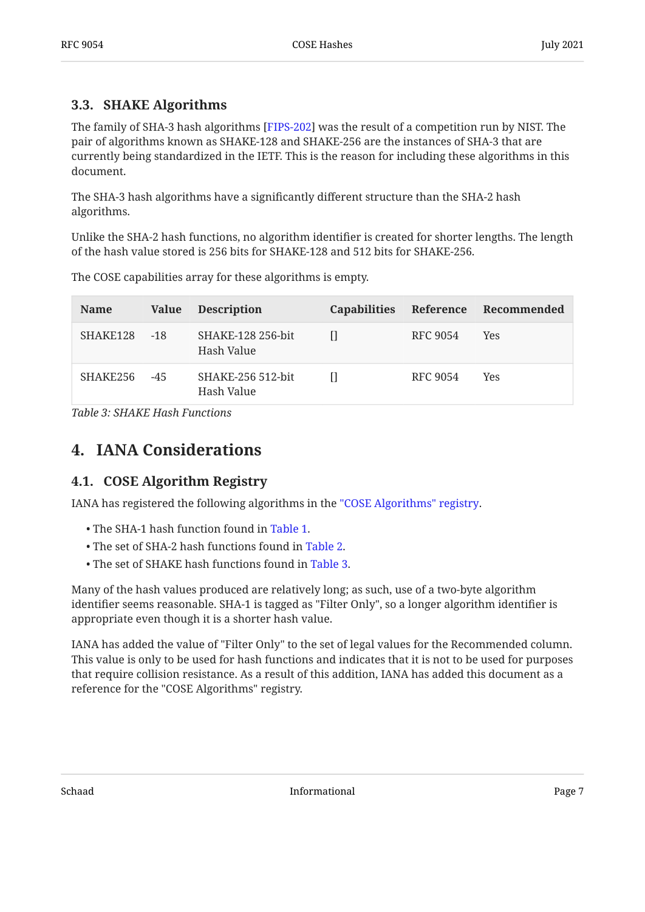#### <span id="page-6-0"></span>**[3.3. SHAKE Algorithms](#page-6-0)**

The family of SHA-3 hash algorithms [FIPS-202] was the result of a competition run by NIST. The pair of algorithms known as SHAKE-128 and SHAKE-256 are the instances of SHA-3 that are currently being standardized in the IETF. This is the reason for including these algorithms in this document.

The SHA-3 hash algorithms have a significantly different structure than the SHA-2 hash algorithms.

Unlike the SHA-2 hash functions, no algorithm identifier is created for shorter lengths. The length of the hash value stored is 256 bits for SHAKE-128 and 512 bits for SHAKE-256.

<span id="page-6-3"></span>

| <b>Name</b> | Value | <b>Description</b>              | <b>Capabilities</b> |          | Reference Recommended |
|-------------|-------|---------------------------------|---------------------|----------|-----------------------|
| SHAKE128    | $-18$ | SHAKE-128 256-bit<br>Hash Value | п                   | RFC 9054 | <b>Yes</b>            |
| SHAKE256    | $-45$ | SHAKE-256 512-bit<br>Hash Value |                     | RFC 9054 | Yes                   |

The COSE capabilities array for these algorithms is empty.

<span id="page-6-1"></span>*[Table 3](#page-6-3): [SHAKE Hash Functions](#page-6-3)* 

### <span id="page-6-2"></span>**[4. IANA Considerations](#page-6-1)**

#### **[4.1. COSE Algorithm Registry](#page-6-2)**

IANA has registered the following algorithms in the ["COSE Algorithms" registry.](https://www.iana.org/assignments/cose/)

- The SHA-1 hash function found in [Table 1.](#page-4-3)
- The set of SHA-2 hash functions found in [Table 2](#page-5-1).
- The set of SHAKE hash functions found in [Table 3](#page-6-3).

Many of the hash values produced are relatively long; as such, use of a two-byte algorithm identifier seems reasonable. SHA-1 is tagged as "Filter Only", so a longer algorithm identifier is appropriate even though it is a shorter hash value.

IANA has added the value of "Filter Only" to the set of legal values for the Recommended column. This value is only to be used for hash functions and indicates that it is not to be used for purposes that require collision resistance. As a result of this addition, IANA has added this document as a reference for the "COSE Algorithms" registry.

Schaad Page 7 and 2012 11 and 2012 11 and 2012 12:30 The Page 7 and 2012 12:30 Page 7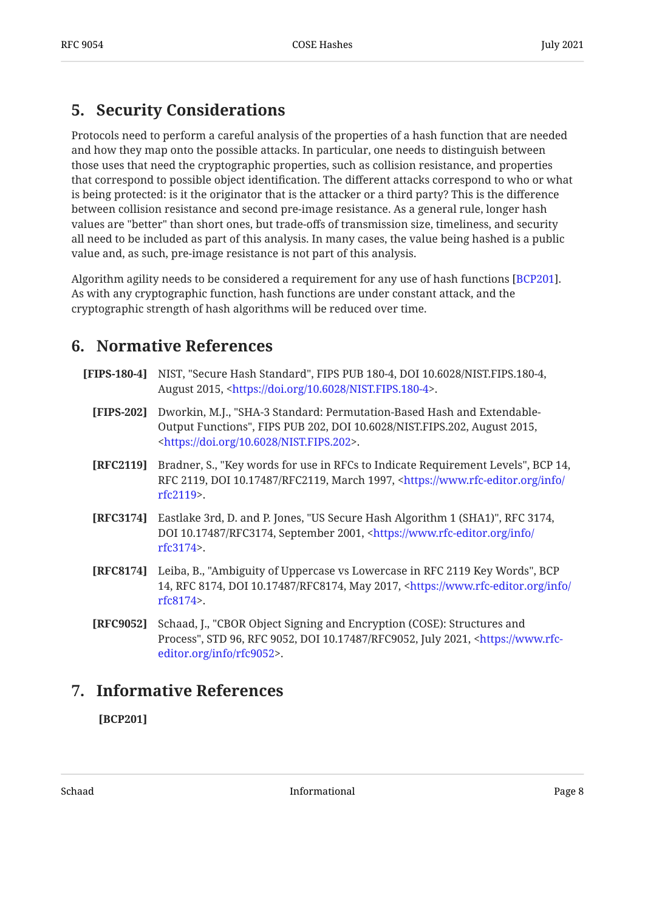## <span id="page-7-0"></span>**[5. Security Considerations](#page-7-0)**

Protocols need to perform a careful analysis of the properties of a hash function that are needed and how they map onto the possible attacks. In particular, one needs to distinguish between those uses that need the cryptographic properties, such as collision resistance, and properties that correspond to possible object identification. The different attacks correspond to who or what is being protected: is it the originator that is the attacker or a third party? This is the difference between collision resistance and second pre-image resistance. As a general rule, longer hash values are "better" than short ones, but trade-offs of transmission size, timeliness, and security all need to be included as part of this analysis. In many cases, the value being hashed is a public value and, as such, pre-image resistance is not part of this analysis.

Algorithm agility needs to be considered a requirement for any use of hash functions [[BCP201](#page-7-5)].  $\,$ As with any cryptographic function, hash functions are under constant attack, and the cryptographic strength of hash algorithms will be reduced over time.

### <span id="page-7-1"></span>**[6. Normative References](#page-7-1)**

- <span id="page-7-8"></span><span id="page-7-7"></span><span id="page-7-6"></span><span id="page-7-3"></span>**[FIPS-180-4]** NIST, "Secure Hash Standard", FIPS PUB 180-4, DOI 10.6028/NIST.FIPS.180-4, August 2015, <https://doi.org/10.6028/NIST.FIPS.180-4>.
	- **[FIPS-202]** , Dworkin, M.J. "SHA-3 Standard: Permutation-Based Hash and Extendable-Output Functions", FIPS PUB 202, DOI 10.6028/NIST.FIPS.202, August 2015, . [<https://doi.org/10.6028/NIST.FIPS.202](https://doi.org/10.6028/NIST.FIPS.202)>
	- **[RFC2119]** Bradner, S., "Key words for use in RFCs to Indicate Requirement Levels", BCP 14, RFC 2119, DOI 10.17487/RFC2119, March 1997, <[https://www.rfc-editor.org/info/](https://www.rfc-editor.org/info/rfc2119) . [rfc2119>](https://www.rfc-editor.org/info/rfc2119)
	- **[RFC3174]** Eastlake 3rd, D. and P. Jones, "US Secure Hash Algorithm 1 (SHA1)", RFC 3174, DOI 10.17487/RFC3174, September 2001, <[https://www.rfc-editor.org/info/](https://www.rfc-editor.org/info/rfc3174) . [rfc3174>](https://www.rfc-editor.org/info/rfc3174)
	- **[RFC8174]** Leiba, B., "Ambiguity of Uppercase vs Lowercase in RFC 2119 Key Words", BCP 14, RFC 8174, DOI 10.17487/RFC8174, May 2017, [<https://www.rfc-editor.org/info/](https://www.rfc-editor.org/info/rfc8174) . [rfc8174>](https://www.rfc-editor.org/info/rfc8174)
	- **[RFC9052]** Schaad, J., "CBOR Object Signing and Encryption (COSE): Structures and Process", STD 96, RFC 9052, DOI 10.17487/RFC9052, July 2021, <[https://www.rfc-](https://www.rfc-editor.org/info/rfc9052). [editor.org/info/rfc9052>](https://www.rfc-editor.org/info/rfc9052)

## <span id="page-7-4"></span><span id="page-7-2"></span>**[7. Informative References](#page-7-2)**

<span id="page-7-5"></span>**[BCP201]**